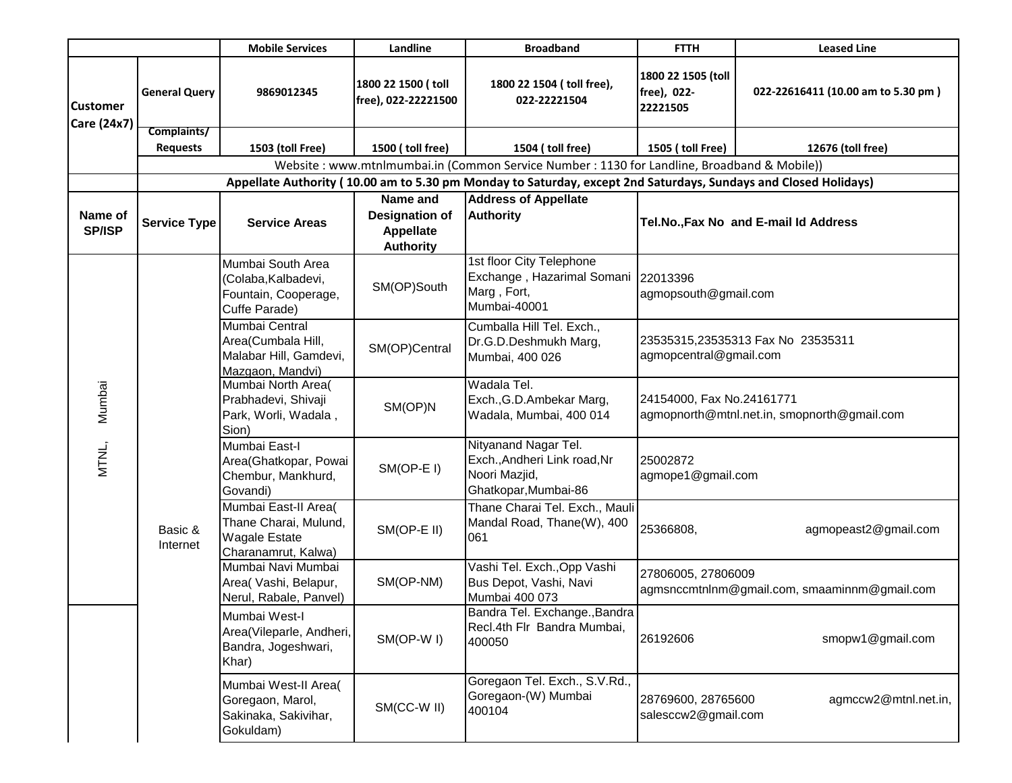|                                |                                                                                                                 | <b>Mobile Services</b>                                                                       | Landline                                                                  | <b>Broadband</b>                                                                              | <b>FTTH</b>                                                        | <b>Leased Line</b>                          |  |  |  |  |
|--------------------------------|-----------------------------------------------------------------------------------------------------------------|----------------------------------------------------------------------------------------------|---------------------------------------------------------------------------|-----------------------------------------------------------------------------------------------|--------------------------------------------------------------------|---------------------------------------------|--|--|--|--|
| <b>Customer</b><br>Care (24x7) | <b>General Query</b>                                                                                            | 9869012345                                                                                   | 1800 22 1500 (toll<br>free), 022-22221500                                 | 1800 22 1504 (toll free),<br>022-22221504                                                     | 1800 22 1505 (toll<br>free), 022-<br>22221505                      | 022-22616411 (10.00 am to 5.30 pm)          |  |  |  |  |
|                                | Complaints/                                                                                                     |                                                                                              |                                                                           |                                                                                               |                                                                    |                                             |  |  |  |  |
|                                | <b>Requests</b>                                                                                                 | 1503 (toll Free)                                                                             | 1500 (toll free)                                                          | 1504 (toll free)                                                                              | 1505 (toll Free)                                                   | 12676 (toll free)                           |  |  |  |  |
|                                | Website: www.mtnlmumbai.in (Common Service Number: 1130 for Landline, Broadband & Mobile))                      |                                                                                              |                                                                           |                                                                                               |                                                                    |                                             |  |  |  |  |
|                                | Appellate Authority (10.00 am to 5.30 pm Monday to Saturday, except 2nd Saturdays, Sundays and Closed Holidays) |                                                                                              |                                                                           |                                                                                               |                                                                    |                                             |  |  |  |  |
| Name of<br><b>SP/ISP</b>       | <b>Service Type</b>                                                                                             | <b>Service Areas</b>                                                                         | Name and<br><b>Designation of</b><br><b>Appellate</b><br><b>Authority</b> | <b>Address of Appellate</b><br><b>Authority</b>                                               | Tel.No., Fax No and E-mail Id Address                              |                                             |  |  |  |  |
|                                | Basic &<br>Internet                                                                                             | Mumbai South Area<br>(Colaba, Kalbadevi,<br>Fountain, Cooperage,<br>Cuffe Parade)            | SM(OP)South                                                               | 1st floor City Telephone<br>Exchange, Hazarimal Somani<br>Marg, Fort,<br>Mumbai-40001         | 22013396<br>agmopsouth@gmail.com                                   |                                             |  |  |  |  |
|                                |                                                                                                                 | Mumbai Central<br>Area(Cumbala Hill,<br>Malabar Hill, Gamdevi,<br>Mazgaon, Mandvi)           | SM(OP)Central                                                             | Cumballa Hill Tel. Exch.,<br>Dr.G.D.Deshmukh Marg,<br>Mumbai, 400 026                         | 23535315,23535313 Fax No 23535311<br>agmopcentral@gmail.com        |                                             |  |  |  |  |
| Mumbai                         |                                                                                                                 | Mumbai North Area(<br>Prabhadevi, Shivaji<br>Park, Worli, Wadala,<br>Sion)                   | SM(OP)N                                                                   | Wadala Tel.<br>Exch., G.D. Ambekar Marg,<br>Wadala, Mumbai, 400 014                           | 24154000, Fax No.24161771                                          | agmopnorth@mtnl.net.in, smopnorth@gmail.com |  |  |  |  |
| MTNL,                          |                                                                                                                 | Mumbai East-I<br>Area(Ghatkopar, Powai<br>Chembur, Mankhurd,<br>Govandi)                     | SM(OP-EI)                                                                 | Nityanand Nagar Tel.<br>Exch., Andheri Link road, Nr<br>Noori Mazjid,<br>Ghatkopar, Mumbai-86 | 25002872<br>agmope1@gmail.com                                      |                                             |  |  |  |  |
|                                |                                                                                                                 | Mumbai East-II Area(<br>Thane Charai, Mulund,<br><b>Wagale Estate</b><br>Charanamrut, Kalwa) | SM(OP-E II)                                                               | Thane Charai Tel. Exch., Mauli<br>Mandal Road, Thane(W), 400<br>061                           | 25366808,                                                          | agmopeast2@gmail.com                        |  |  |  |  |
|                                |                                                                                                                 | Mumbai Navi Mumbai<br>Area( Vashi, Belapur,<br>Nerul, Rabale, Panvel)                        | SM(OP-NM)                                                                 | Vashi Tel. Exch., Opp Vashi<br>Bus Depot, Vashi, Navi<br>Mumbai 400 073                       | 27806005, 27806009<br>agmsnccmtnlnm@gmail.com, smaaminnm@gmail.com |                                             |  |  |  |  |
|                                |                                                                                                                 | Mumbai West-I<br>Area(Vileparle, Andheri,<br>Bandra, Jogeshwari,<br>Khar)                    | SM(OP-WI)                                                                 | Bandra Tel. Exchange., Bandra<br>Recl.4th Flr Bandra Mumbai,<br>400050                        | 26192606                                                           | smopw1@gmail.com                            |  |  |  |  |
|                                |                                                                                                                 | Mumbai West-II Area(<br>Goregaon, Marol,<br>Sakinaka, Sakivihar,<br>Gokuldam)                | SM(CC-W II)                                                               | Goregaon Tel. Exch., S.V.Rd.,<br>Goregaon-(W) Mumbai<br>400104                                | 28769600, 28765600<br>salesccw2@gmail.com                          | agmccw2@mtnl.net.in,                        |  |  |  |  |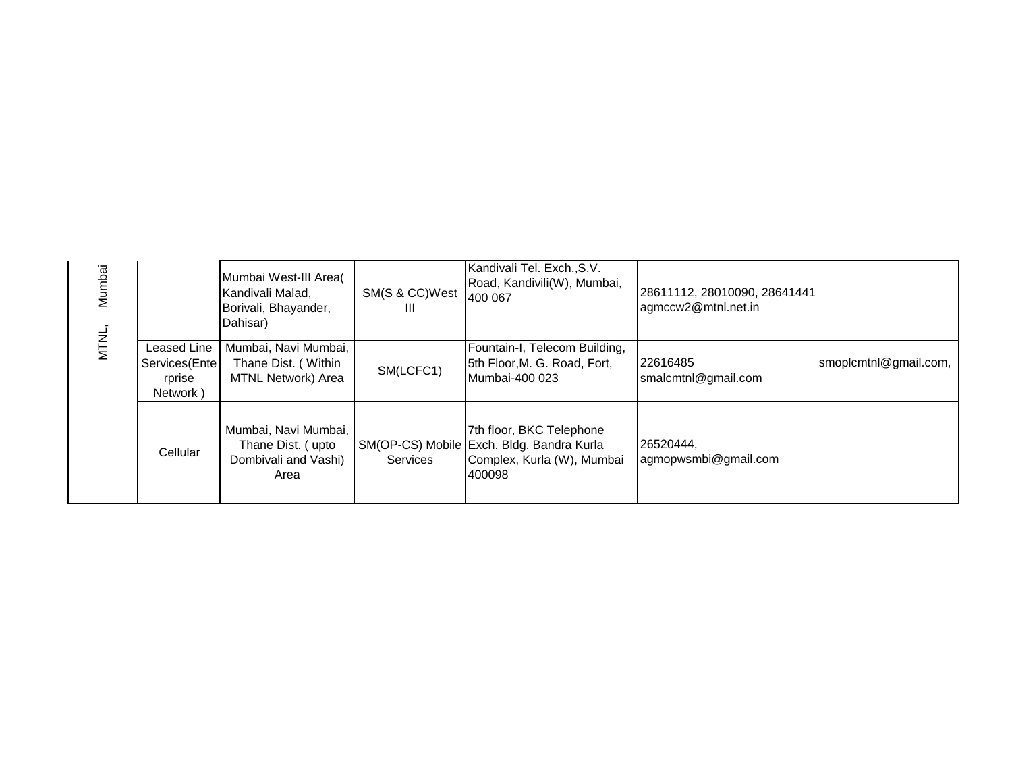|  | Mumbai |                                                    | Mumbai West-III Area(<br>Kandivali Malad,<br>Borivali, Bhayander,<br>Dahisar) | SM(S & CC)West<br>Ш | Kandivali Tel. Exch., S.V.<br>Road, Kandivili(W), Mumbai,<br>400 067                                          | 28611112, 28010090, 28641441<br>agmccw2@mtnl.net.in |                       |
|--|--------|----------------------------------------------------|-------------------------------------------------------------------------------|---------------------|---------------------------------------------------------------------------------------------------------------|-----------------------------------------------------|-----------------------|
|  | MTNL,  | Leased Line<br>Services(Ente<br>rprise<br>Network) | Mumbai, Navi Mumbai,<br>Thane Dist. (Within<br><b>MTNL Network) Area</b>      | SM(LCFC1)           | Fountain-I, Telecom Building,<br>5th Floor, M. G. Road, Fort,<br>Mumbai-400 023                               | 22616485<br>smalcmtnl@gmail.com                     | smoplcmtnl@gmail.com, |
|  |        | Cellular                                           | Mumbai, Navi Mumbai,<br>Thane Dist. (upto<br>Dombivali and Vashi)<br>Area     | Services            | 7th floor, BKC Telephone<br>SM(OP-CS) Mobile Exch. Bldg. Bandra Kurla<br>Complex, Kurla (W), Mumbai<br>400098 | 26520444,<br>agmopwsmbi@gmail.com                   |                       |